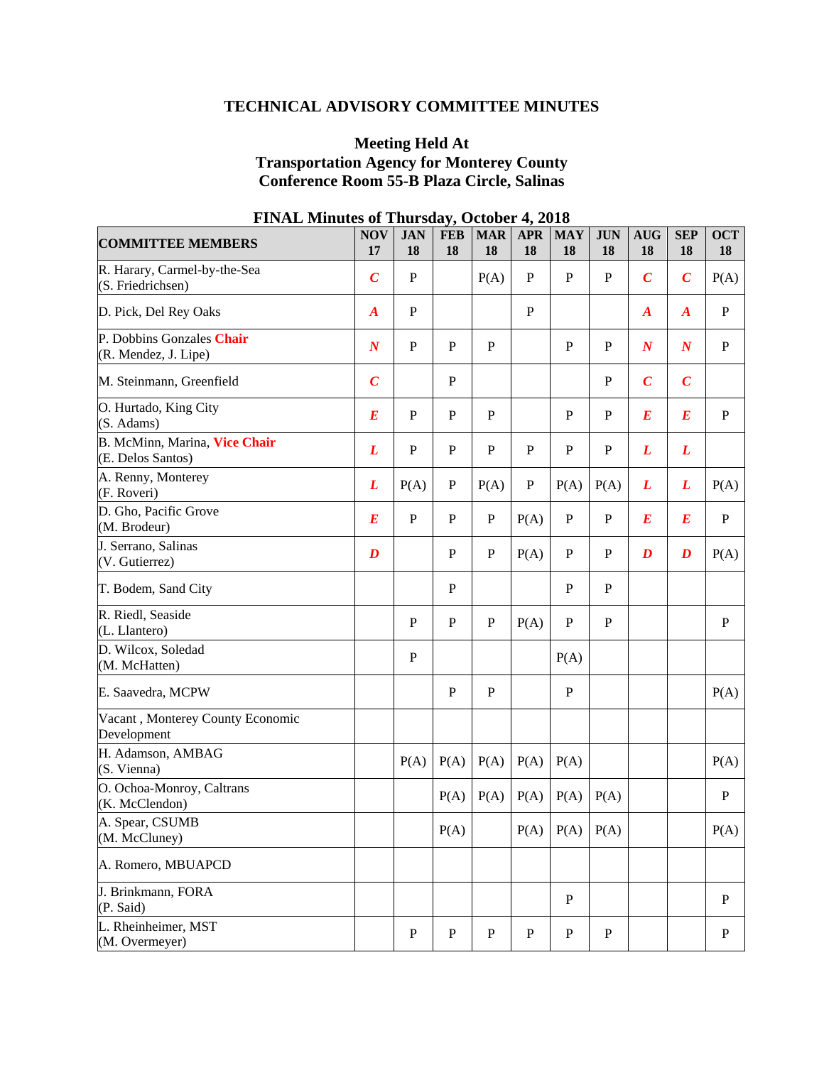# **TECHNICAL ADVISORY COMMITTEE MINUTES**

# **Meeting Held At Transportation Agency for Monterey County Conference Room 55-B Plaza Circle, Salinas**

| <b>COMMITTEE MEMBERS</b>                           | <b>NOV</b><br>17 | <b>JAN</b><br>18 | <b>FEB</b><br>18 | <b>MAR</b><br>18 | <b>APR</b><br>18 | <b>MAY</b><br>18     | <b>JUN</b><br>18 | <b>AUG</b><br>18 | <b>SEP</b><br>18 | <b>OCT</b><br>18 |
|----------------------------------------------------|------------------|------------------|------------------|------------------|------------------|----------------------|------------------|------------------|------------------|------------------|
| R. Harary, Carmel-by-the-Sea<br>(S. Friedrichsen)  | $\boldsymbol{C}$ | $\, {\bf P}$     |                  | P(A)             | $\mathbf P$      | $\mathbf P$          | ${\bf P}$        | $\boldsymbol{C}$ | $\boldsymbol{C}$ | P(A)             |
| D. Pick, Del Rey Oaks                              | $\boldsymbol{A}$ | $\mathbf P$      |                  |                  | $\mathbf P$      |                      |                  | $\boldsymbol{A}$ | $\boldsymbol{A}$ | $\mathbf{P}$     |
| P. Dobbins Gonzales Chair<br>(R. Mendez, J. Lipe)  | $\boldsymbol{N}$ | $\mathbf P$      | $\mathbf{P}$     | ${\bf P}$        |                  | ${\bf P}$            | $\mathbf P$      | $\boldsymbol{N}$ | $\boldsymbol{N}$ | $\mathbf{P}$     |
| M. Steinmann, Greenfield                           | $\boldsymbol{C}$ |                  | $\mathbf{P}$     |                  |                  |                      | $\mathbf{P}$     | $\boldsymbol{C}$ | $\boldsymbol{C}$ |                  |
| O. Hurtado, King City<br>(S. Adams)                | $\boldsymbol{E}$ | $\, {\bf P}$     | $\mathbf{P}$     | $\mathbf{P}$     |                  | P                    | $\mathbf P$      | $\boldsymbol{E}$ | $\boldsymbol{E}$ | $\mathbf{P}$     |
| B. McMinn, Marina, Vice Chair<br>(E. Delos Santos) | L                | ${\bf P}$        | $\mathbf P$      | $\mathbf{P}$     | $\mathbf P$      | $\mathbf P$          | $\mathbf P$      | L                | L                |                  |
| A. Renny, Monterey<br>(F. Roveri)                  | L                | P(A)             | P                | P(A)             | $\mathbf P$      | P(A)                 | P(A)             | L                | L                | P(A)             |
| D. Gho, Pacific Grove<br>(M. Brodeur)              | $\bm E$          | $\, {\bf P}$     | P                | $\mathbf P$      | P(A)             | ${\bf P}$            | $\mathbf P$      | $\boldsymbol{E}$ | $\bm E$          | $\mathbf{P}$     |
| J. Serrano, Salinas<br>(V. Gutierrez)              | $\boldsymbol{D}$ |                  | P                | $\mathbf{P}$     | P(A)             | $\mathbf P$          | P                | $\boldsymbol{D}$ | $\boldsymbol{D}$ | P(A)             |
| T. Bodem, Sand City                                |                  |                  | $\mathbf P$      |                  |                  | ${\bf P}$            | ${\bf P}$        |                  |                  |                  |
| R. Riedl, Seaside<br>(L. Llantero)                 |                  | $\mathbf P$      | $\mathbf P$      | $\mathbf{P}$     | P(A)             | $\mathbf P$          | ${\bf P}$        |                  |                  | $\mathbf{P}$     |
| D. Wilcox, Soledad<br>(M. McHatten)                |                  | $\, {\bf P}$     |                  |                  |                  | P(A)                 |                  |                  |                  |                  |
| E. Saavedra, MCPW                                  |                  |                  | P                | $\mathbf{P}$     |                  | $\mathbf P$          |                  |                  |                  | P(A)             |
| Vacant, Monterey County Economic<br>Development    |                  |                  |                  |                  |                  |                      |                  |                  |                  |                  |
| H. Adamson, AMBAG<br>(S. Vienna)                   |                  | P(A)             | P(A)             | P(A)             | P(A)             | P(A)                 |                  |                  |                  | P(A)             |
| O. Ochoa-Monroy, Caltrans<br>(K. McClendon)        |                  |                  | P(A)             | P(A)             | P(A)             | P(A)                 | P(A)             |                  |                  | P                |
| A. Spear, CSUMB<br>(M. McCluney)                   |                  |                  | P(A)             |                  |                  | $P(A)$ $P(A)$ $P(A)$ |                  |                  |                  | P(A)             |
| A. Romero, MBUAPCD                                 |                  |                  |                  |                  |                  |                      |                  |                  |                  |                  |
| J. Brinkmann, FORA<br>(P. Said)                    |                  |                  |                  |                  |                  | P                    |                  |                  |                  | $\mathbf{P}$     |
| L. Rheinheimer, MST<br>(M. Overmeyer)              |                  | ${\bf P}$        | $\mathbf P$      | ${\bf P}$        | ${\bf P}$        | ${\bf P}$            | $\mathbf{P}$     |                  |                  | $\mathbf{P}$     |

# **FINAL Minutes of Thursday, October 4, 2018**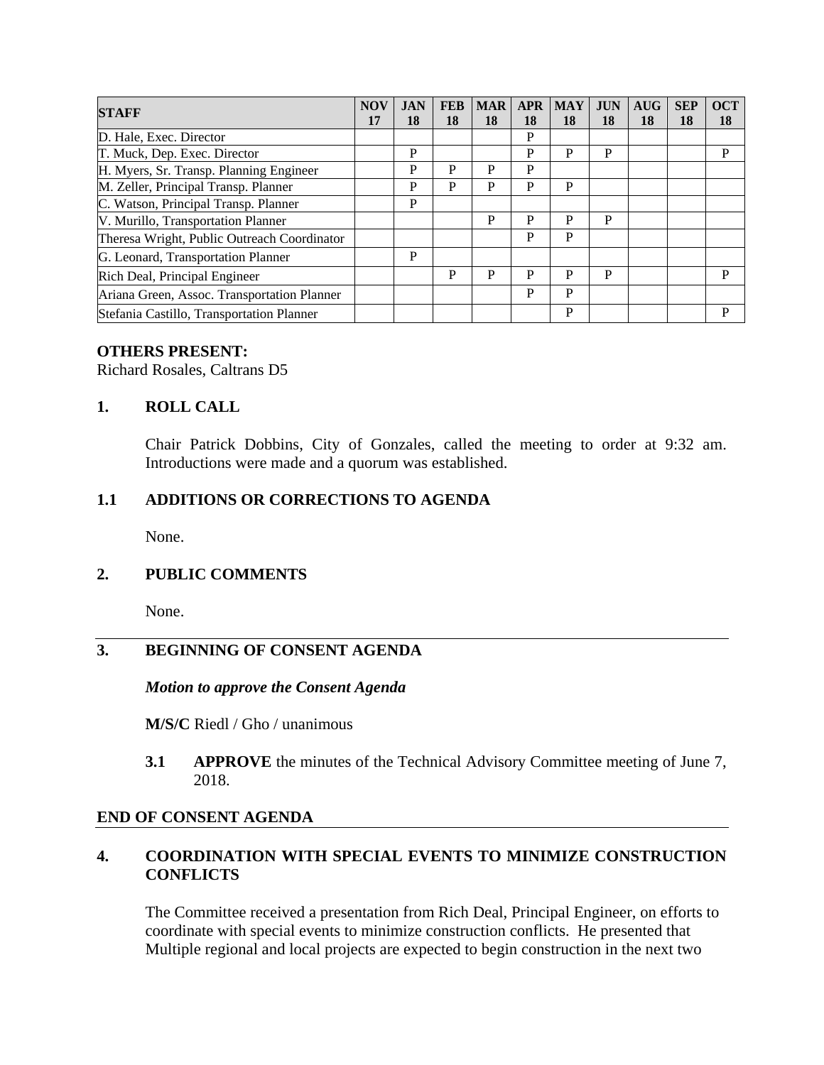| <b>STAFF</b>                                | <b>NOV</b> | <b>JAN</b> | <b>FEB</b> | <b>MAR</b> | <b>APR</b> | <b>MAY</b> | <b>JUN</b> | <b>AUG</b> | <b>SEP</b> | <b>OCT</b> |
|---------------------------------------------|------------|------------|------------|------------|------------|------------|------------|------------|------------|------------|
|                                             | 17         | 18         | 18         | 18         | 18         | 18         | 18         | 18         | 18         | 18         |
| D. Hale, Exec. Director                     |            |            |            |            | P          |            |            |            |            |            |
| T. Muck, Dep. Exec. Director                |            | P          |            |            | P          | P          | P          |            |            | P          |
| H. Myers, Sr. Transp. Planning Engineer     |            | P          | P          | Р          | P          |            |            |            |            |            |
| M. Zeller, Principal Transp. Planner        |            | P          | P          | P          | P          | P          |            |            |            |            |
| C. Watson, Principal Transp. Planner        |            | P          |            |            |            |            |            |            |            |            |
| V. Murillo, Transportation Planner          |            |            |            | P          | P          | P          | P          |            |            |            |
| Theresa Wright, Public Outreach Coordinator |            |            |            |            | P          | P          |            |            |            |            |
| G. Leonard, Transportation Planner          |            | P          |            |            |            |            |            |            |            |            |
| Rich Deal, Principal Engineer               |            |            | P          | P          | P          | P          | P          |            |            | P          |
| Ariana Green, Assoc. Transportation Planner |            |            |            |            | P          | P          |            |            |            |            |
| Stefania Castillo, Transportation Planner   |            |            |            |            |            | P          |            |            |            | P          |

#### **OTHERS PRESENT:**

Richard Rosales, Caltrans D5

### **1. ROLL CALL**

Chair Patrick Dobbins, City of Gonzales, called the meeting to order at 9:32 am. Introductions were made and a quorum was established.

#### **1.1 ADDITIONS OR CORRECTIONS TO AGENDA**

None.

#### **2. PUBLIC COMMENTS**

None.

# **3. BEGINNING OF CONSENT AGENDA**

*Motion to approve the Consent Agenda* 

**M/S/C** Riedl / Gho / unanimous

**3.1 APPROVE** the minutes of the Technical Advisory Committee meeting of June 7, 2018.

#### **END OF CONSENT AGENDA**

### **4. COORDINATION WITH SPECIAL EVENTS TO MINIMIZE CONSTRUCTION CONFLICTS**

The Committee received a presentation from Rich Deal, Principal Engineer, on efforts to coordinate with special events to minimize construction conflicts. He presented that Multiple regional and local projects are expected to begin construction in the next two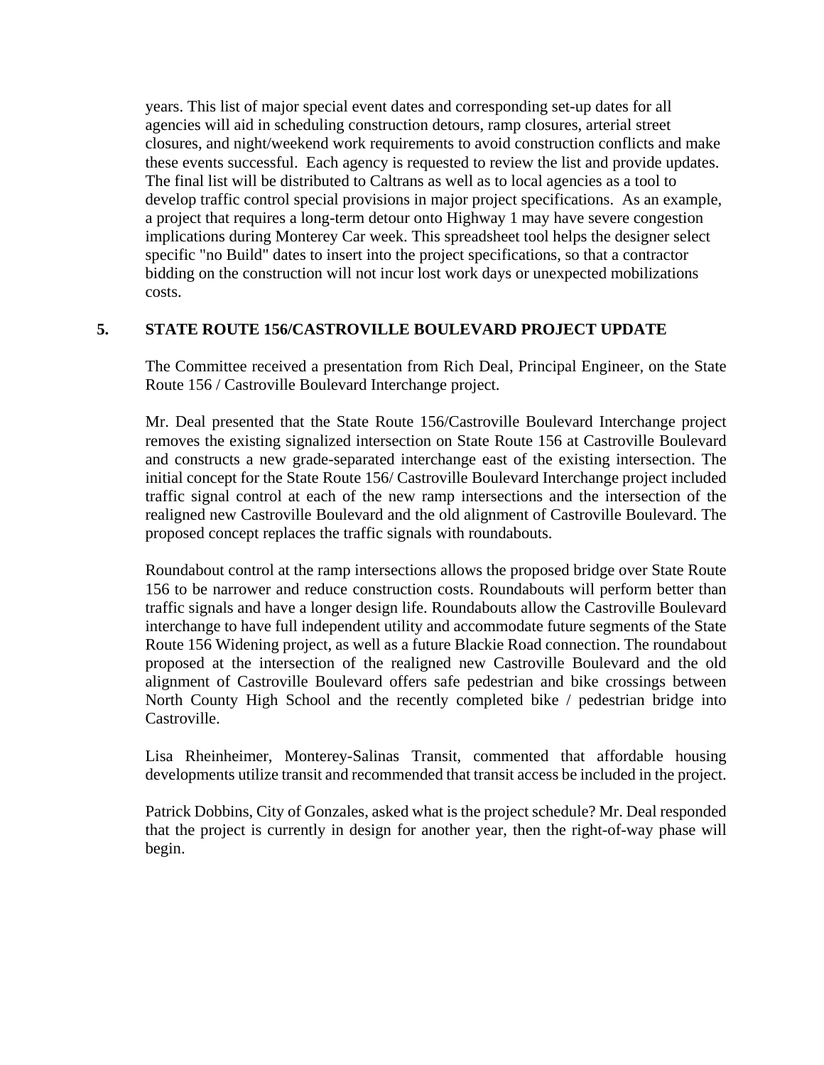years. This list of major special event dates and corresponding set-up dates for all agencies will aid in scheduling construction detours, ramp closures, arterial street closures, and night/weekend work requirements to avoid construction conflicts and make these events successful. Each agency is requested to review the list and provide updates. The final list will be distributed to Caltrans as well as to local agencies as a tool to develop traffic control special provisions in major project specifications. As an example, a project that requires a long-term detour onto Highway 1 may have severe congestion implications during Monterey Car week. This spreadsheet tool helps the designer select specific "no Build" dates to insert into the project specifications, so that a contractor bidding on the construction will not incur lost work days or unexpected mobilizations costs.

#### **5. STATE ROUTE 156/CASTROVILLE BOULEVARD PROJECT UPDATE**

The Committee received a presentation from Rich Deal, Principal Engineer, on the State Route 156 / Castroville Boulevard Interchange project.

Mr. Deal presented that the State Route 156/Castroville Boulevard Interchange project removes the existing signalized intersection on State Route 156 at Castroville Boulevard and constructs a new grade-separated interchange east of the existing intersection. The initial concept for the State Route 156/ Castroville Boulevard Interchange project included traffic signal control at each of the new ramp intersections and the intersection of the realigned new Castroville Boulevard and the old alignment of Castroville Boulevard. The proposed concept replaces the traffic signals with roundabouts.

Roundabout control at the ramp intersections allows the proposed bridge over State Route 156 to be narrower and reduce construction costs. Roundabouts will perform better than traffic signals and have a longer design life. Roundabouts allow the Castroville Boulevard interchange to have full independent utility and accommodate future segments of the State Route 156 Widening project, as well as a future Blackie Road connection. The roundabout proposed at the intersection of the realigned new Castroville Boulevard and the old alignment of Castroville Boulevard offers safe pedestrian and bike crossings between North County High School and the recently completed bike / pedestrian bridge into Castroville.

Lisa Rheinheimer, Monterey-Salinas Transit, commented that affordable housing developments utilize transit and recommended that transit access be included in the project.

Patrick Dobbins, City of Gonzales, asked what is the project schedule? Mr. Deal responded that the project is currently in design for another year, then the right-of-way phase will begin.